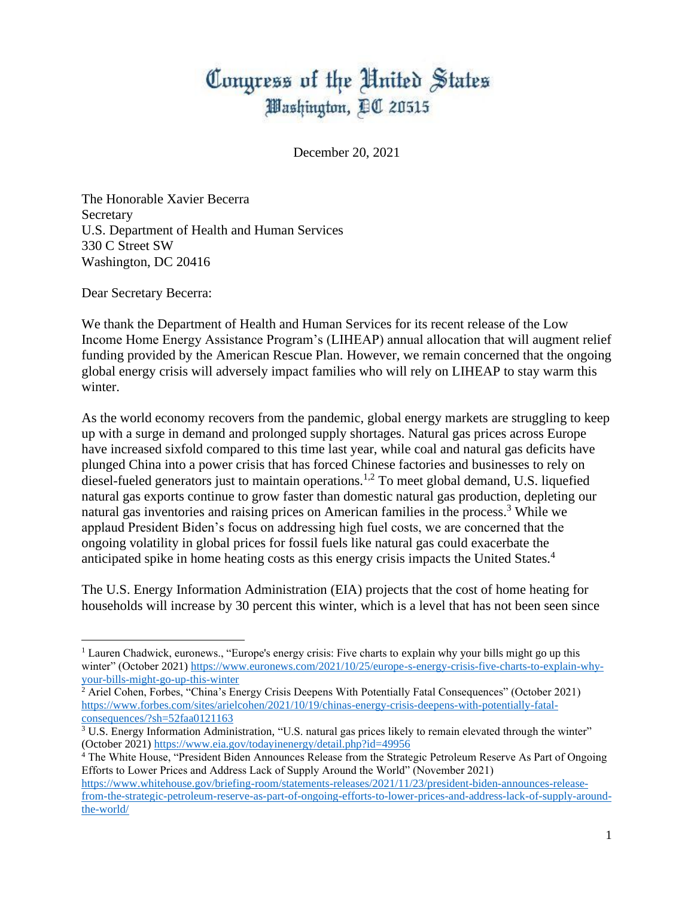## Congress of the United States Washington, DC 20515

December 20, 2021

The Honorable Xavier Becerra Secretary U.S. Department of Health and Human Services 330 C Street SW Washington, DC 20416

Dear Secretary Becerra:

We thank the Department of Health and Human Services for its recent release of the Low Income Home Energy Assistance Program's (LIHEAP) annual allocation that will augment relief funding provided by the American Rescue Plan. However, we remain concerned that the ongoing global energy crisis will adversely impact families who will rely on LIHEAP to stay warm this winter.

As the world economy recovers from the pandemic, global energy markets are struggling to keep up with a surge in demand and prolonged supply shortages. Natural gas prices across Europe have increased sixfold compared to this time last year, while coal and natural gas deficits have plunged China into a power crisis that has forced Chinese factories and businesses to rely on diesel-fueled generators just to maintain operations.<sup>1,2</sup> To meet global demand, U.S. liquefied natural gas exports continue to grow faster than domestic natural gas production, depleting our natural gas inventories and raising prices on American families in the process.<sup>3</sup> While we applaud President Biden's focus on addressing high fuel costs, we are concerned that the ongoing volatility in global prices for fossil fuels like natural gas could exacerbate the anticipated spike in home heating costs as this energy crisis impacts the United States.<sup>4</sup>

The U.S. Energy Information Administration (EIA) projects that the cost of home heating for households will increase by 30 percent this winter, which is a level that has not been seen since

<sup>1</sup> Lauren Chadwick, euronews., "Europe's energy crisis: Five charts to explain why your bills might go up this winter" (October 2021) [https://www.euronews.com/2021/10/25/europe-s-energy-crisis-five-charts-to-explain-why](https://www.euronews.com/2021/10/25/europe-s-energy-crisis-five-charts-to-explain-why-your-bills-might-go-up-this-winter)[your-bills-might-go-up-this-winter](https://www.euronews.com/2021/10/25/europe-s-energy-crisis-five-charts-to-explain-why-your-bills-might-go-up-this-winter)

<sup>&</sup>lt;sup>2</sup> Ariel Cohen, Forbes, "China's Energy Crisis Deepens With Potentially Fatal Consequences" (October 2021) [https://www.forbes.com/sites/arielcohen/2021/10/19/chinas-energy-crisis-deepens-with-potentially-fatal](https://www.forbes.com/sites/arielcohen/2021/10/19/chinas-energy-crisis-deepens-with-potentially-fatal-consequences/?sh=52faa0121163)[consequences/?sh=52faa0121163](https://www.forbes.com/sites/arielcohen/2021/10/19/chinas-energy-crisis-deepens-with-potentially-fatal-consequences/?sh=52faa0121163)

<sup>&</sup>lt;sup>3</sup> U.S. Energy Information Administration, "U.S. natural gas prices likely to remain elevated through the winter" (October 2021)<https://www.eia.gov/todayinenergy/detail.php?id=49956>

<sup>4</sup> The White House, "President Biden Announces Release from the Strategic Petroleum Reserve As Part of Ongoing Efforts to Lower Prices and Address Lack of Supply Around the World" (November 2021) [https://www.whitehouse.gov/briefing-room/statements-releases/2021/11/23/president-biden-announces-release-](https://www.whitehouse.gov/briefing-room/statements-releases/2021/11/23/president-biden-announces-release-from-the-strategic-petroleum-reserve-as-part-of-ongoing-efforts-to-lower-prices-and-address-lack-of-supply-around-the-world/)

[from-the-strategic-petroleum-reserve-as-part-of-ongoing-efforts-to-lower-prices-and-address-lack-of-supply-around](https://www.whitehouse.gov/briefing-room/statements-releases/2021/11/23/president-biden-announces-release-from-the-strategic-petroleum-reserve-as-part-of-ongoing-efforts-to-lower-prices-and-address-lack-of-supply-around-the-world/)[the-world/](https://www.whitehouse.gov/briefing-room/statements-releases/2021/11/23/president-biden-announces-release-from-the-strategic-petroleum-reserve-as-part-of-ongoing-efforts-to-lower-prices-and-address-lack-of-supply-around-the-world/)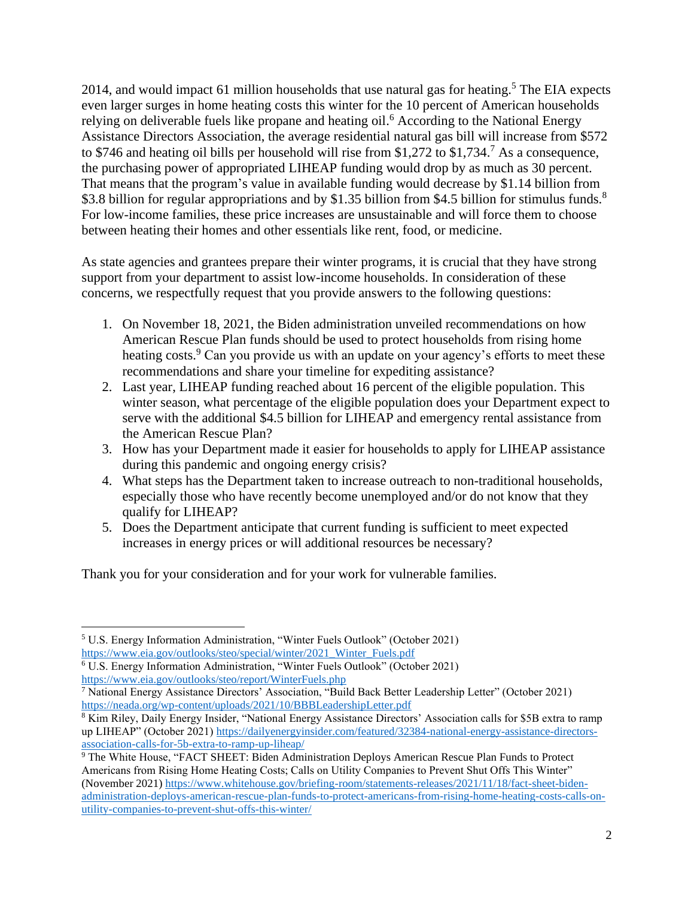2014, and would impact 61 million households that use natural gas for heating.<sup>5</sup> The EIA expects even larger surges in home heating costs this winter for the 10 percent of American households relying on deliverable fuels like propane and heating oil.<sup>6</sup> According to the National Energy Assistance Directors Association, the average residential natural gas bill will increase from \$572 to \$746 and heating oil bills per household will rise from \$1,272 to \$1,734.<sup>7</sup> As a consequence, the purchasing power of appropriated LIHEAP funding would drop by as much as 30 percent. That means that the program's value in available funding would decrease by \$1.14 billion from \$3.8 billion for regular appropriations and by \$1.35 billion from \$4.5 billion for stimulus funds.<sup>8</sup> For low-income families, these price increases are unsustainable and will force them to choose between heating their homes and other essentials like rent, food, or medicine.

As state agencies and grantees prepare their winter programs, it is crucial that they have strong support from your department to assist low-income households. In consideration of these concerns, we respectfully request that you provide answers to the following questions:

- 1. On November 18, 2021, the Biden administration unveiled recommendations on how American Rescue Plan funds should be used to protect households from rising home heating costs.<sup>9</sup> Can you provide us with an update on your agency's efforts to meet these recommendations and share your timeline for expediting assistance?
- 2. Last year, LIHEAP funding reached about 16 percent of the eligible population. This winter season, what percentage of the eligible population does your Department expect to serve with the additional \$4.5 billion for LIHEAP and emergency rental assistance from the American Rescue Plan?
- 3. How has your Department made it easier for households to apply for LIHEAP assistance during this pandemic and ongoing energy crisis?
- 4. What steps has the Department taken to increase outreach to non-traditional households, especially those who have recently become unemployed and/or do not know that they qualify for LIHEAP?
- 5. Does the Department anticipate that current funding is sufficient to meet expected increases in energy prices or will additional resources be necessary?

Thank you for your consideration and for your work for vulnerable families.

<sup>5</sup> U.S. Energy Information Administration, "Winter Fuels Outlook" (October 2021) [https://www.eia.gov/outlooks/steo/special/winter/2021\\_Winter\\_Fuels.pdf](https://www.eia.gov/outlooks/steo/special/winter/2021_Winter_Fuels.pdf)

<sup>6</sup> U.S. Energy Information Administration, "Winter Fuels Outlook" (October 2021) <https://www.eia.gov/outlooks/steo/report/WinterFuels.php>

<sup>7</sup> National Energy Assistance Directors' Association, "Build Back Better Leadership Letter" (October 2021) <https://neada.org/wp-content/uploads/2021/10/BBBLeadershipLetter.pdf>

<sup>8</sup> Kim Riley, Daily Energy Insider, "National Energy Assistance Directors' Association calls for \$5B extra to ramp up LIHEAP" (October 2021) [https://dailyenergyinsider.com/featured/32384-national-energy-assistance-directors](https://dailyenergyinsider.com/featured/32384-national-energy-assistance-directors-association-calls-for-5b-extra-to-ramp-up-liheap/)[association-calls-for-5b-extra-to-ramp-up-liheap/](https://dailyenergyinsider.com/featured/32384-national-energy-assistance-directors-association-calls-for-5b-extra-to-ramp-up-liheap/)

<sup>&</sup>lt;sup>9</sup> The White House, "FACT SHEET: Biden Administration Deploys American Rescue Plan Funds to Protect Americans from Rising Home Heating Costs; Calls on Utility Companies to Prevent Shut Offs This Winter" (November 2021) [https://www.whitehouse.gov/briefing-room/statements-releases/2021/11/18/fact-sheet-biden](https://www.whitehouse.gov/briefing-room/statements-releases/2021/11/18/fact-sheet-biden-administration-deploys-american-rescue-plan-funds-to-protect-americans-from-rising-home-heating-costs-calls-on-utility-companies-to-prevent-shut-offs-this-winter/)[administration-deploys-american-rescue-plan-funds-to-protect-americans-from-rising-home-heating-costs-calls-on](https://www.whitehouse.gov/briefing-room/statements-releases/2021/11/18/fact-sheet-biden-administration-deploys-american-rescue-plan-funds-to-protect-americans-from-rising-home-heating-costs-calls-on-utility-companies-to-prevent-shut-offs-this-winter/)[utility-companies-to-prevent-shut-offs-this-winter/](https://www.whitehouse.gov/briefing-room/statements-releases/2021/11/18/fact-sheet-biden-administration-deploys-american-rescue-plan-funds-to-protect-americans-from-rising-home-heating-costs-calls-on-utility-companies-to-prevent-shut-offs-this-winter/)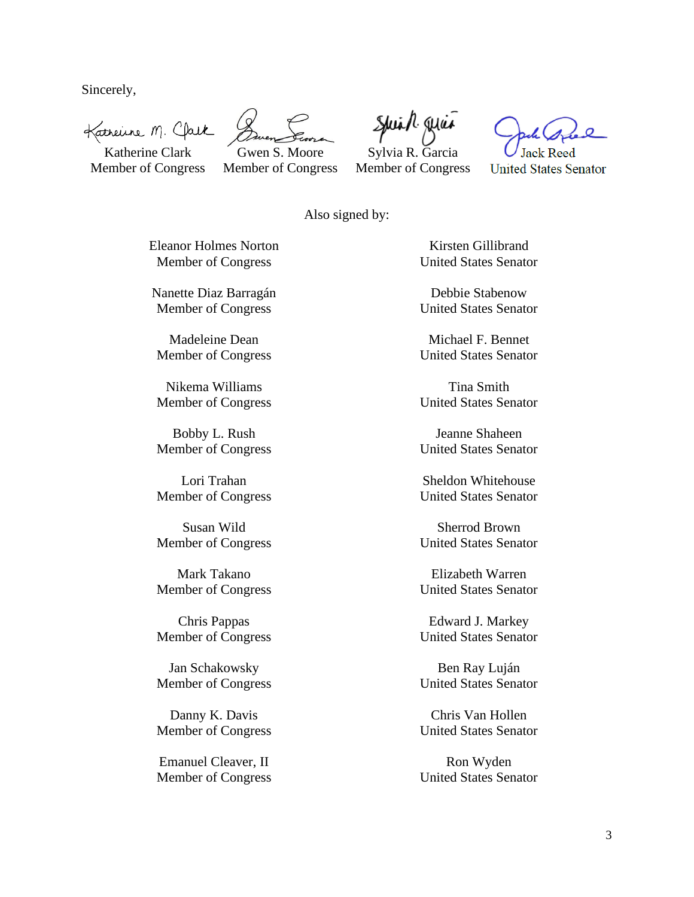Sincerely,

Katherine M. Clark

Katherine Clark Member of Congress

Gwen S. Moore

Member of Congress

Spiral quia Sylvia R. Garcia Member of Congress

**United States Senator** 

Also signed by:

Eleanor Holmes Norton Member of Congress

Nanette Diaz Barragán Member of Congress

Madeleine Dean Member of Congress

Nikema Williams Member of Congress

Bobby L. Rush Member of Congress

Lori Trahan Member of Congress

Susan Wild Member of Congress

Mark Takano Member of Congress

Chris Pappas Member of Congress

Jan Schakowsky Member of Congress

Danny K. Davis Member of Congress

Emanuel Cleaver, II Member of Congress

Kirsten Gillibrand United States Senator

Debbie Stabenow United States Senator

Michael F. Bennet United States Senator

Tina Smith United States Senator

Jeanne Shaheen United States Senator

Sheldon Whitehouse United States Senator

Sherrod Brown United States Senator

Elizabeth Warren United States Senator

Edward J. Markey United States Senator

Ben Ray Luján United States Senator

Chris Van Hollen United States Senator

Ron Wyden United States Senator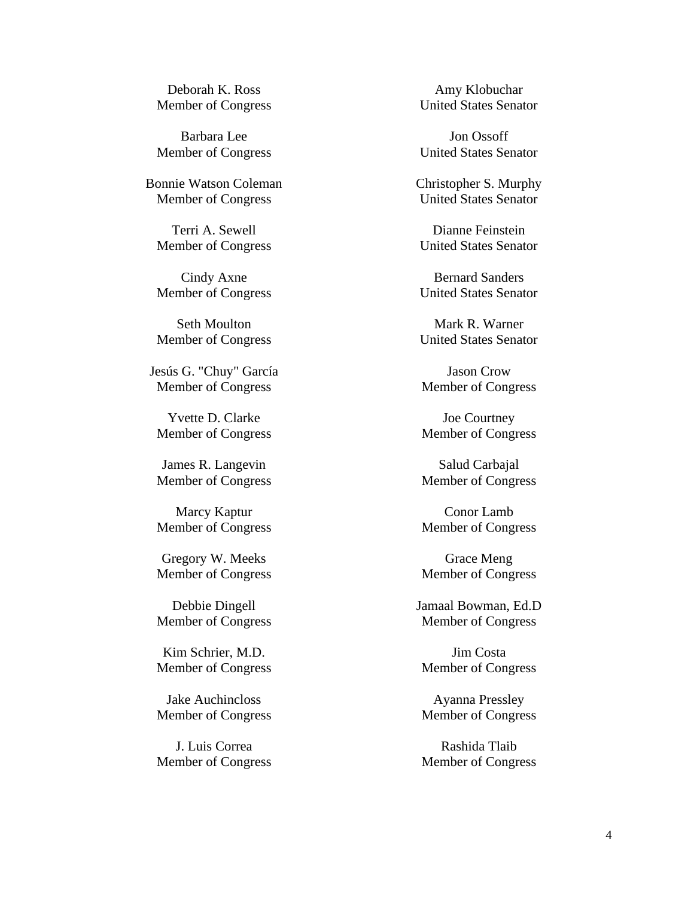Deborah K. Ross Member of Congress

Barbara Lee Member of Congress

Bonnie Watson Coleman Member of Congress

Terri A. Sewell Member of Congress

Cindy Axne Member of Congress

Seth Moulton Member of Congress

Jesús G. "Chuy" García Member of Congress

Yvette D. Clarke Member of Congress

James R. Langevin Member of Congress

Marcy Kaptur Member of Congress

Gregory W. Meeks Member of Congress

Debbie Dingell Member of Congress

Kim Schrier, M.D. Member of Congress

Jake Auchincloss Member of Congress

J. Luis Correa Member of Congress

Amy Klobuchar United States Senator

Jon Ossoff United States Senator

Christopher S. Murphy United States Senator

Dianne Feinstein United States Senator

Bernard Sanders United States Senator

Mark R. Warner United States Senator

Jason Crow Member of Congress

Joe Courtney Member of Congress

Salud Carbajal Member of Congress

Conor Lamb Member of Congress

Grace Meng Member of Congress

Jamaal Bowman, Ed.D Member of Congress

Jim Costa Member of Congress

Ayanna Pressley Member of Congress

Rashida Tlaib Member of Congress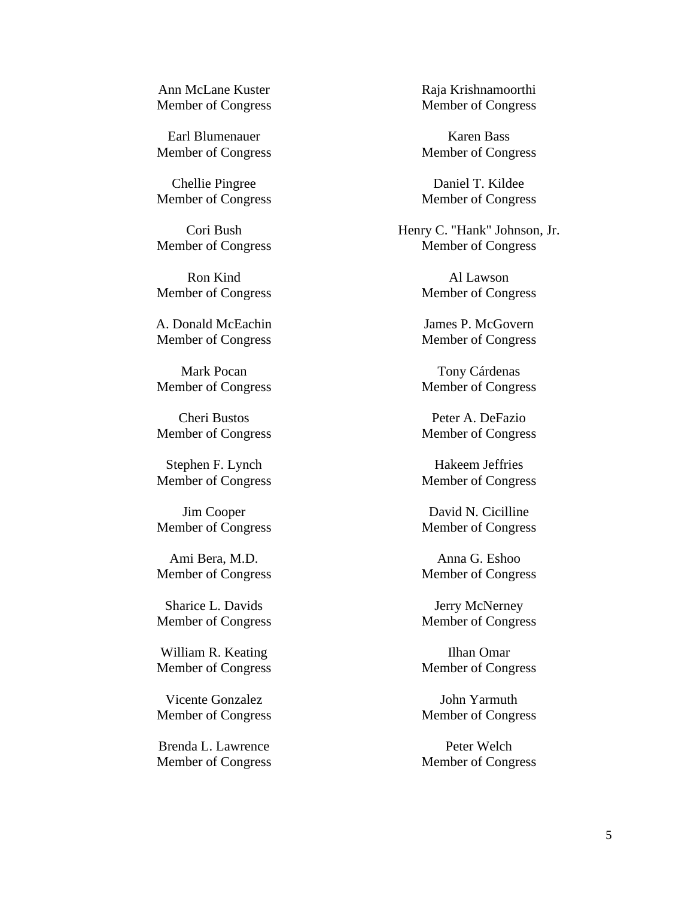Ann McLane Kuster Member of Congress

Earl Blumenauer Member of Congress

Chellie Pingree Member of Congress

Cori Bush Member of Congress

Ron Kind Member of Congress

A. Donald McEachin Member of Congress

Mark Pocan Member of Congress

Cheri Bustos Member of Congress

Stephen F. Lynch Member of Congress

Jim Cooper Member of Congress

Ami Bera, M.D. Member of Congress

Sharice L. Davids Member of Congress

William R. Keating Member of Congress

Vicente Gonzalez Member of Congress

Brenda L. Lawrence Member of Congress Raja Krishnamoorthi Member of Congress

Karen Bass Member of Congress

Daniel T. Kildee Member of Congress

Henry C. "Hank" Johnson, Jr. Member of Congress

> Al Lawson Member of Congress

> James P. McGovern Member of Congress

> Tony Cárdenas Member of Congress

> Peter A. DeFazio Member of Congress

> Hakeem Jeffries Member of Congress

> David N. Cicilline Member of Congress

> Anna G. Eshoo Member of Congress

> Jerry McNerney Member of Congress

> Ilhan Omar Member of Congress

> John Yarmuth Member of Congress

> Peter Welch Member of Congress